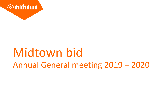

# Midtown bid Annual General meeting 2019 – 2020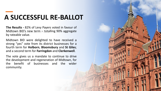# **A SUCCESSFUL RE-BALLOT**

**The Results -** 82% of Levy Payers voted in favour of Midtown BID's new term – totalling 90% aggregate by rateable value.

Midtown BID were delighted to have received a strong "yes" vote from its district businesses for a fourth term for **Holborn**, **Bloomsbury** and **St Giles**; and a second term for **Farringdon** and **Clerkenwell**.

The vote gives us a mandate to continue to drive the development and regeneration of Midtown, for the benefit of businesses and the wider community.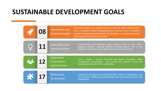### **SUSTAINABLE DEVELOPMENT GOALS**

**08** Decent work and Economic Growth

Economic projects to support business and the wider community – such as Holborn Station Redevelopment, Princes Circus & Holborn Liveable Neighbourhood Scheme all designed to promote growth and inward investment to the area

Sustainable Cities and Communities

**11** Sustainable Cities **11** Environmental and education based projects such as "Bee Wild",<br>Midtown Gardens, reducing pollution through projects such as the<br>and Communities Midtown Cycle Vault project [NCP] and Air Quality Midtown Gardens, reducing pollution through projects such as the Midtown Cycle Vault project [NCP] and Air Quality monitoring

> Responsible Consumption and Production

**12 12 Consumption** Future London - Evening Standard Anti-Plastics Campaign, waste<br>Consumption management consolidation and sharing best practice across our<br>and Production membership and with other stakeholders management consolidation and sharing best practice across our membership and with other stakeholders

> **Partnerships** for the Goals

**17** Partnerships Leadership and influence working with BID members, stakeholders, and<br>for the Goals stakeholders. communities. Collaboration and learning from pan-London partners and stakeholders.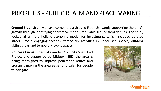#### PRIORITIES - PUBLIC REALM AND PLACE MAKING

**Ground Floor Use** – we have completed a Ground Floor Use Study supporting the area's growth through identifying alternative models for viable ground floor venues. The study looked at a more holistic economic model for investment, which included curated streets, more engaging facades, temporary activities in underused spaces, outdoor sitting areas and temporary event spaces.

**Princess Circus** – part of Camden Council's West End Project and supported by Midtown BID, the area is being redesigned to improve pedestrian routes and crossings making the area easier and safer for people to navigate.



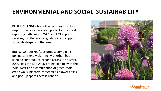#### **ENVIRONMENTAL AND SOCIAL SUSTAINABILITY**

**BE THE CHANGE -** homeless campaign has been re-purposed as a dedicated portal for on-street reporting with links to WC1 and EC1 support services, to offer advice, guidance and support to rough sleepers in the area.

**BEE-WILD -** our rooftops project combining pollinator friendly planting with urban bee keeping continues to expand across the district. 2020 sees the BEE WILD project join up with the Wild West End a combination of green roofs, green walls, planters, street trees, flower boxes and pop-up spaces across London.



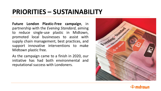# **PRIORITIES – SUSTAINABILITY**

**Future London Plastic-Free campaign**, in partnership with the *Evening Standard*, aiming to reduce single-use plastic in Midtown, promoted local businesses to assist with supply chain management, best practices, and support innovative interventions to make Midtown plastic free.

As the campaign came to a finish in 2020, our initiative has had both environmental and reputational success with Londoners.



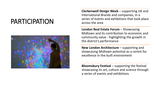# PARTICIPATION



**Clerkenwell Design Week** – supporting UK and International Brands and companies, in a series of events and exhibitions that took place across the area

**London Real Estate Forum - Showcasing** Midtown and its contribution to economic and community value - highlighting the growth in the district's performance

**New London Architecture** – supporting and showcasing Midtown potential as a centre for excellence in the built environment

**Bloomsbury Festival** – supporting the festival showcasing its art, culture and science through a series of events and exhibitions